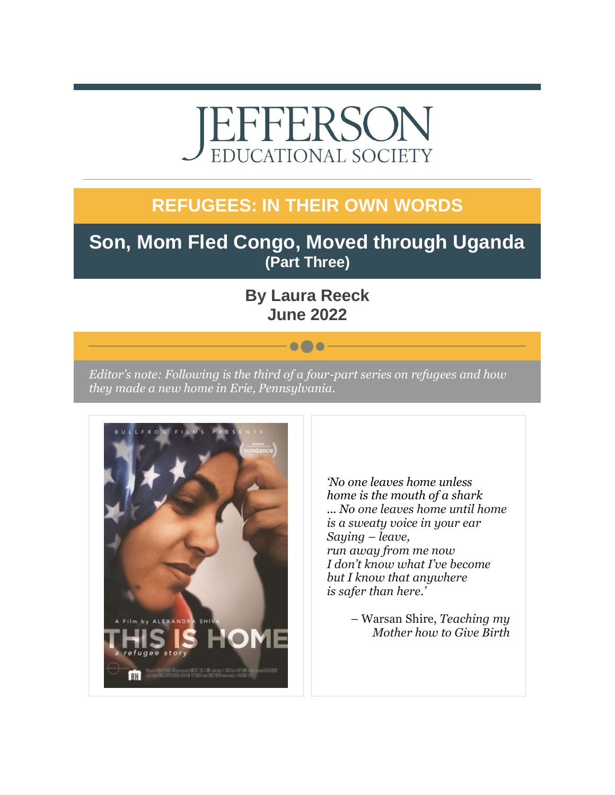# EFFERSO EDUCATIONAL SOCIETY

## **REFUGEES: IN THEIR OWN WORDS**

### **Son, Mom Fled Congo, Moved through Uganda (Part Three)**

### **By Laura Reeck June 2022**

 $\bullet\bullet\bullet$ 

*Editor's note: Following is the third of a four-part series on refugees and how they made a new home in Erie, Pennsylvania.*



*'No one leaves home unless home is the mouth of a shark ... No one leaves home until home is a sweaty voice in your ear Saying – leave, run away from me now I don't know what I've become but I know that anywhere is safer than here.'*

> – Warsan Shire, *Teaching my Mother how to Give Birth*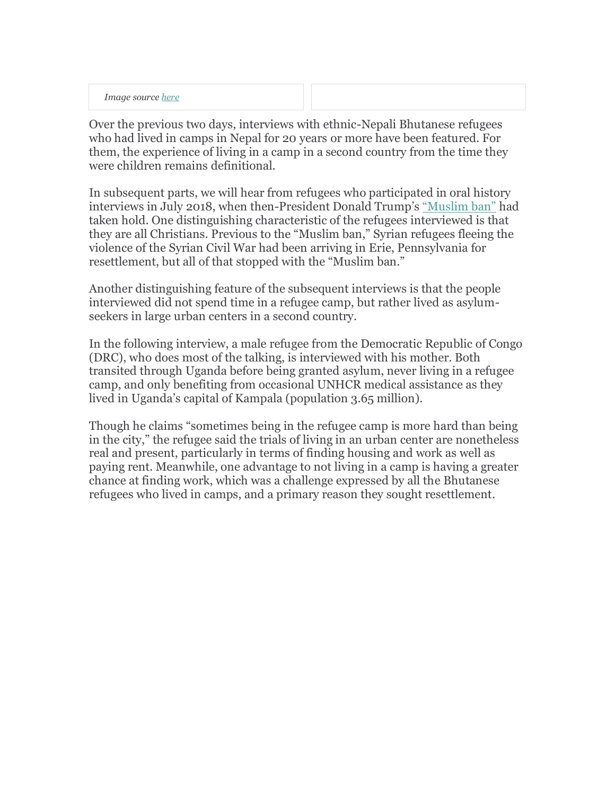*Image sourc[e here](https://r20.rs6.net/tn.jsp?f=00143J68QUd1l6rBXZIyh97TTfqxXdM_P01eOO--1pApIVXQJHSeMhGq6DJfougVxwj9_FpJ4VW2O9VybtwJefjNTXHTTOjgbpzCR9LlkopjfWjZ6vUz8qrU3UDQXqqCDKZF7deIt1k6J3jOuT9O0nEa8wehGznzsx9-lnI_C6au-M=&c=NLsy2Rd4W0ZMkK8vwZaOwkaMcrJTOHgBBFduPtkgrFadvMgVWA11Qw==&ch=AgpVHonGAhjPSvNPBcGBZXIbfLEE8Lr2kWm8f-xUG_czmz9PdaZdvQ==)*

Over the previous two days, interviews with ethnic-Nepali Bhutanese refugees who had lived in camps in Nepal for 20 years or more have been featured. For them, the experience of living in a camp in a second country from the time they were children remains definitional.

In subsequent parts, we will hear from refugees who participated in oral history interviews in July 2018, when then-President Donald Trump's ["Muslim ban"](https://r20.rs6.net/tn.jsp?f=00143J68QUd1l6rBXZIyh97TTfqxXdM_P01eOO--1pApIVXQJHSeMhGq6DJfougVxwjcygWZL7CmjxuzEHbseLOq71Qw6AXGvuIia6tTJNZ_rYq76Ivz9HvO5EgI3rAGQtAuXna7fgDTsAmNJRYQY1y425fJkZlqCSUTi2zJMiWQeR6DNrfBPfXmbC2qvlHLapA&c=NLsy2Rd4W0ZMkK8vwZaOwkaMcrJTOHgBBFduPtkgrFadvMgVWA11Qw==&ch=AgpVHonGAhjPSvNPBcGBZXIbfLEE8Lr2kWm8f-xUG_czmz9PdaZdvQ==) had taken hold. One distinguishing characteristic of the refugees interviewed is that they are all Christians. Previous to the "Muslim ban," Syrian refugees fleeing the violence of the Syrian Civil War had been arriving in Erie, Pennsylvania for resettlement, but all of that stopped with the "Muslim ban."

Another distinguishing feature of the subsequent interviews is that the people interviewed did not spend time in a refugee camp, but rather lived as asylumseekers in large urban centers in a second country.

In the following interview, a male refugee from the Democratic Republic of Congo (DRC), who does most of the talking, is interviewed with his mother. Both transited through Uganda before being granted asylum, never living in a refugee camp, and only benefiting from occasional UNHCR medical assistance as they lived in Uganda's capital of Kampala (population 3.65 million).

Though he claims "sometimes being in the refugee camp is more hard than being in the city," the refugee said the trials of living in an urban center are nonetheless real and present, particularly in terms of finding housing and work as well as paying rent. Meanwhile, one advantage to not living in a camp is having a greater chance at finding work, which was a challenge expressed by all the Bhutanese refugees who lived in camps, and a primary reason they sought resettlement.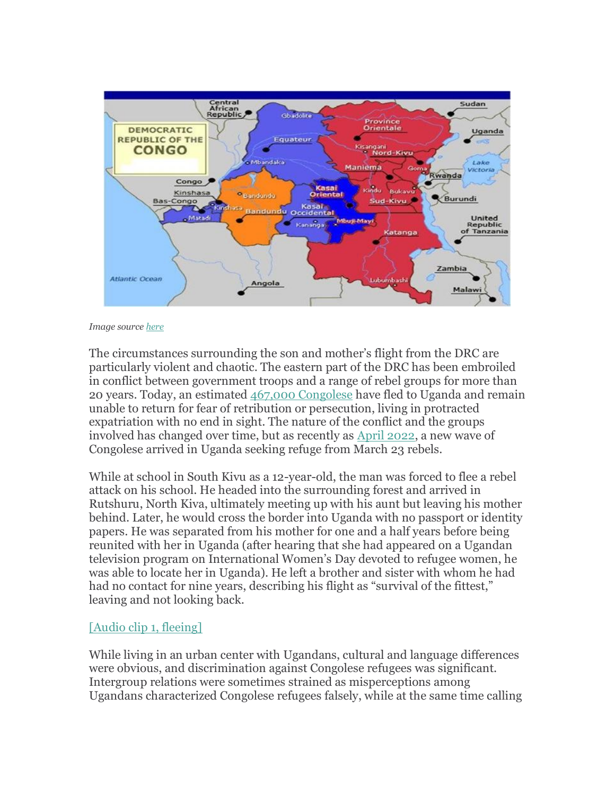

*Image sourc[e here](https://r20.rs6.net/tn.jsp?f=00143J68QUd1l6rBXZIyh97TTfqxXdM_P01eOO--1pApIVXQJHSeMhGq6DJfougVxwjyt2GduelxDuQgOzFUH3NO7J3kAsp-G1XuIT_tmG24UvE0dZodm2_Z0GHpFX-VhP7cYfKjTOY3C_1mRizAoXatEdBf3n2R4zVwVPmsjGzEmggZesUYJH7jeOtFe1ei5_qeiFY_W8vdv2dVDTk7AuI3KV03gprPuQarQ05vRQas4jDC6QFuFpecZltTptmH6z9YcEs7Rv50V2Sxz53jpS6nxEZKGnlgKdBwDns23bR6dY=&c=NLsy2Rd4W0ZMkK8vwZaOwkaMcrJTOHgBBFduPtkgrFadvMgVWA11Qw==&ch=AgpVHonGAhjPSvNPBcGBZXIbfLEE8Lr2kWm8f-xUG_czmz9PdaZdvQ==)*

The circumstances surrounding the son and mother's flight from the DRC are particularly violent and chaotic. The eastern part of the DRC has been embroiled in conflict between government troops and a range of rebel groups for more than 20 years. Today, an estimated [467,000 Congolese](https://r20.rs6.net/tn.jsp?f=00143J68QUd1l6rBXZIyh97TTfqxXdM_P01eOO--1pApIVXQJHSeMhGq6DJfougVxwjk3CfAf596_FXH1JvNvJPXpBjRdVUBO2LOOZpTIy5-uklfJtPl7Ihzz_p_kIzQ7PaUGS12PvnIwVlItz1nA2H9wK4WWvyHPf6SV4rY7uYBhgvdl7mY5dwCQ==&c=NLsy2Rd4W0ZMkK8vwZaOwkaMcrJTOHgBBFduPtkgrFadvMgVWA11Qw==&ch=AgpVHonGAhjPSvNPBcGBZXIbfLEE8Lr2kWm8f-xUG_czmz9PdaZdvQ==) have fled to Uganda and remain unable to return for fear of retribution or persecution, living in protracted expatriation with no end in sight. The nature of the conflict and the groups involved has changed over time, but as recently as [April 2022,](https://r20.rs6.net/tn.jsp?f=00143J68QUd1l6rBXZIyh97TTfqxXdM_P01eOO--1pApIVXQJHSeMhGq6DJfougVxwjk3CfAf596_FXH1JvNvJPXpBjRdVUBO2LOOZpTIy5-uklfJtPl7Ihzz_p_kIzQ7PaUGS12PvnIwVlItz1nA2H9wK4WWvyHPf6SV4rY7uYBhgvdl7mY5dwCQ==&c=NLsy2Rd4W0ZMkK8vwZaOwkaMcrJTOHgBBFduPtkgrFadvMgVWA11Qw==&ch=AgpVHonGAhjPSvNPBcGBZXIbfLEE8Lr2kWm8f-xUG_czmz9PdaZdvQ==) a new wave of Congolese arrived in Uganda seeking refuge from March 23 rebels.

While at school in South Kivu as a 12-year-old, the man was forced to flee a rebel attack on his school. He headed into the surrounding forest and arrived in Rutshuru, North Kiva, ultimately meeting up with his aunt but leaving his mother behind. Later, he would cross the border into Uganda with no passport or identity papers. He was separated from his mother for one and a half years before being reunited with her in Uganda (after hearing that she had appeared on a Ugandan television program on International Women's Day devoted to refugee women, he was able to locate her in Uganda). He left a brother and sister with whom he had had no contact for nine years, describing his flight as "survival of the fittest," leaving and not looking back.

#### [\[Audio clip 1, fleeing\]](https://r20.rs6.net/tn.jsp?f=00143J68QUd1l6rBXZIyh97TTfqxXdM_P01eOO--1pApIVXQJHSeMhGq6DJfougVxwjXE_e-0l1zmJskgeDD74nKHRJet7c1LOOgdeFf5lhqhH4ib7QGirGug9YEoeIltxbzynDetkZZNxXr-vN_iqSlPMqQ8C4iejKCflGohKIL6eg6pc4p35Sz_Q3NunwH9wOo0xO-t10QVVB-OsbZaQ3pqhZJf0LYpSc548NpLs2lq8=&c=NLsy2Rd4W0ZMkK8vwZaOwkaMcrJTOHgBBFduPtkgrFadvMgVWA11Qw==&ch=AgpVHonGAhjPSvNPBcGBZXIbfLEE8Lr2kWm8f-xUG_czmz9PdaZdvQ==)

While living in an urban center with Ugandans, cultural and language differences were obvious, and discrimination against Congolese refugees was significant. Intergroup relations were sometimes strained as misperceptions among Ugandans characterized Congolese refugees falsely, while at the same time calling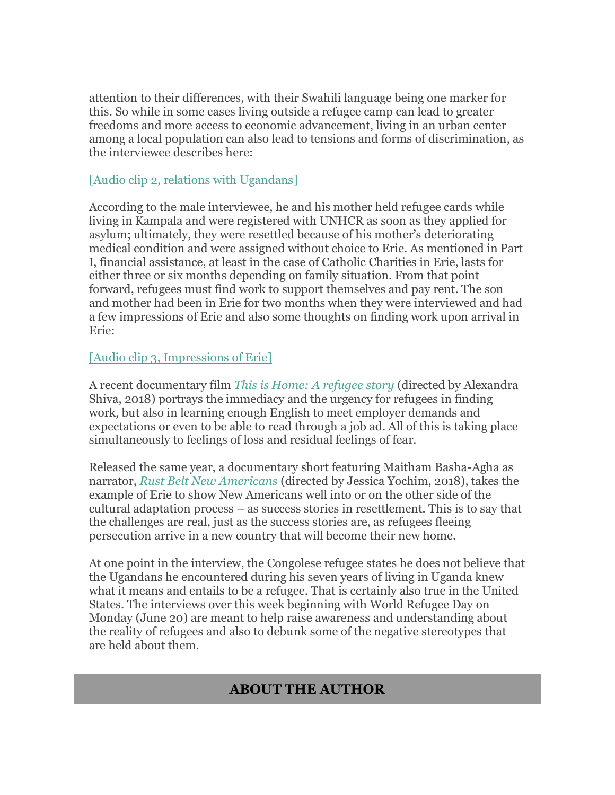attention to their differences, with their Swahili language being one marker for this. So while in some cases living outside a refugee camp can lead to greater freedoms and more access to economic advancement, living in an urban center among a local population can also lead to tensions and forms of discrimination, as the interviewee describes here:

#### [\[Audio clip 2, relations with Ugandans\]](https://r20.rs6.net/tn.jsp?f=00143J68QUd1l6rBXZIyh97TTfqxXdM_P01eOO--1pApIVXQJHSeMhGq6DJfougVxwj1BCT2mWpFKMPYTytcqvH8gxt5J_2z9FPMMvyPOqKG6rxVp41F2yg4JGzZ8xwFPZAOC3TDPhAD8-9VZ0SSsgUW1KyAlOEYIuMmAZnF9GMfFWbAHzqnaEvOg2cwkwUXCc7gwsUjw4ixaq22N5mkWkJwiKblW59uSEssjU-vFLm1_M=&c=NLsy2Rd4W0ZMkK8vwZaOwkaMcrJTOHgBBFduPtkgrFadvMgVWA11Qw==&ch=AgpVHonGAhjPSvNPBcGBZXIbfLEE8Lr2kWm8f-xUG_czmz9PdaZdvQ==)

According to the male interviewee, he and his mother held refugee cards while living in Kampala and were registered with UNHCR as soon as they applied for asylum; ultimately, they were resettled because of his mother's deteriorating medical condition and were assigned without choice to Erie. As mentioned in Part I, financial assistance, at least in the case of Catholic Charities in Erie, lasts for either three or six months depending on family situation. From that point forward, refugees must find work to support themselves and pay rent. The son and mother had been in Erie for two months when they were interviewed and had a few impressions of Erie and also some thoughts on finding work upon arrival in Erie:

#### [\[Audio clip 3, Impressions of Erie\]](https://r20.rs6.net/tn.jsp?f=00143J68QUd1l6rBXZIyh97TTfqxXdM_P01eOO--1pApIVXQJHSeMhGq6DJfougVxwjiDpLm_o4rEU7dOfoMgIGO5IVn2iFJoYG2NcBVcnLFcUxAxc_Uonl2quG8zIZR9oO1MiWXVZDyWH2mQT7oB-ikhjeDiudgMaZCyX_N7sctj5C8qnRltdJZ2od8vnuX3faQHVrgHJ1_K0dtjlwBQKugPCAgH8zM9WqDCo6RhlCvQk=&c=NLsy2Rd4W0ZMkK8vwZaOwkaMcrJTOHgBBFduPtkgrFadvMgVWA11Qw==&ch=AgpVHonGAhjPSvNPBcGBZXIbfLEE8Lr2kWm8f-xUG_czmz9PdaZdvQ==)

A recent documentary film *[This is Home: A refugee story](https://r20.rs6.net/tn.jsp?f=00143J68QUd1l6rBXZIyh97TTfqxXdM_P01eOO--1pApIVXQJHSeMhGq6DJfougVxwjJSc1skLUDqu4pg8x_5hYVApuXoecid82R0XC34aajtFpJRNswzsTmVSXT8ttrEsS4Yx8kJepXmOOI-ZSYDZsdKDfIT1-xMDt8yticQF6U7E5sLyeth8O-w==&c=NLsy2Rd4W0ZMkK8vwZaOwkaMcrJTOHgBBFduPtkgrFadvMgVWA11Qw==&ch=AgpVHonGAhjPSvNPBcGBZXIbfLEE8Lr2kWm8f-xUG_czmz9PdaZdvQ==)* (directed by Alexandra Shiva, 2018) portrays the immediacy and the urgency for refugees in finding work, but also in learning enough English to meet employer demands and expectations or even to be able to read through a job ad. All of this is taking place simultaneously to feelings of loss and residual feelings of fear.

Released the same year, a documentary short featuring Maitham Basha-Agha as narrator, *[Rust Belt New Americans](https://r20.rs6.net/tn.jsp?f=00143J68QUd1l6rBXZIyh97TTfqxXdM_P01eOO--1pApIVXQJHSeMhGq6DJfougVxwj_B_fiAs7phnV0M7bvEKBBFZdZJkrjD3DogfOf_wGu_23wk52O3r4u-3DwDvN9yDUHD2hQCIrbJtsfoar8K0JuPu8RNGS62ZXYSJrDdQQTjBr5AvEb7gf4Q==&c=NLsy2Rd4W0ZMkK8vwZaOwkaMcrJTOHgBBFduPtkgrFadvMgVWA11Qw==&ch=AgpVHonGAhjPSvNPBcGBZXIbfLEE8Lr2kWm8f-xUG_czmz9PdaZdvQ==)* (directed by Jessica Yochim, 2018), takes the example of Erie to show New Americans well into or on the other side of the cultural adaptation process – as success stories in resettlement. This is to say that the challenges are real, just as the success stories are, as refugees fleeing persecution arrive in a new country that will become their new home.

At one point in the interview, the Congolese refugee states he does not believe that the Ugandans he encountered during his seven years of living in Uganda knew what it means and entails to be a refugee. That is certainly also true in the United States. The interviews over this week beginning with World Refugee Day on Monday (June 20) are meant to help raise awareness and understanding about the reality of refugees and also to debunk some of the negative stereotypes that are held about them.

#### **ABOUT THE AUTHOR**